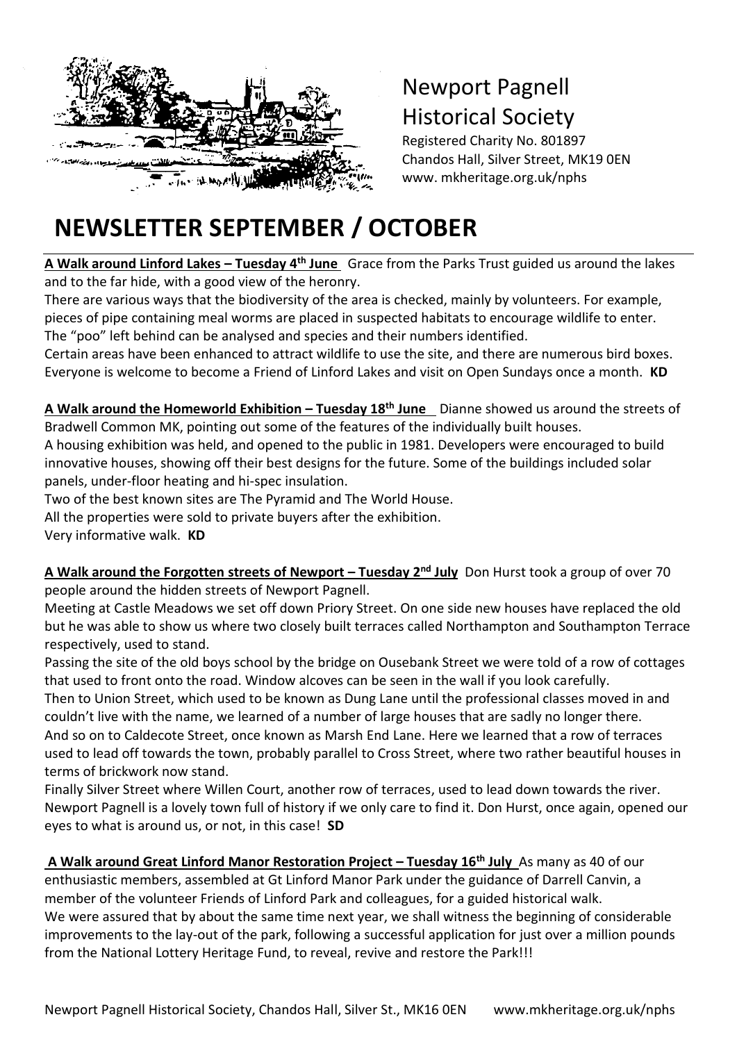

## Newport Pagnell Historical Society

Registered Charity No. 801897 Chandos Hall, Silver Street, MK19 0EN www. mkheritage.org.uk/nphs

## **NEWSLETTER SEPTEMBER / OCTOBER**

**A Walk around Linford Lakes – Tuesday 4th June** Grace from the Parks Trust guided us around the lakes **2019** and to the far hide, with a good view of the heronry. t

There are various ways that the biodiversity of the area is checked, mainly by volunteers. For example, pieces of pipe containing meal worms are placed in suspected habitats to encourage wildlife to enter. The "poo" left behind can be analysed and species and their numbers identified.

Certain areas have been enhanced to attract wildlife to use the site, and there are numerous bird boxes. Everyone is welcome to become a Friend of Linford Lakes and visit on Open Sundays once a month. **KD**

**A Walk around the Homeworld Exhibition – Tuesday 18th June** Dianne showed us around the streets of Bradwell Common MK, pointing out some of the features of the individually built houses.

A housing exhibition was held, and opened to the public in 1981. Developers were encouraged to build innovative houses, showing off their best designs for the future. Some of the buildings included solar panels, under-floor heating and hi-spec insulation.

Two of the best known sites are The Pyramid and The World House.

All the properties were sold to private buyers after the exhibition.

Very informative walk. **KD**

**A Walk around the Forgotten streets of Newport – Tuesday 2nd July** Don Hurst took a group of over 70 people around the hidden streets of Newport Pagnell.

Meeting at Castle Meadows we set off down Priory Street. On one side new houses have replaced the old but he was able to show us where two closely built terraces called Northampton and Southampton Terrace respectively, used to stand.

Passing the site of the old boys school by the bridge on Ousebank Street we were told of a row of cottages that used to front onto the road. Window alcoves can be seen in the wall if you look carefully.

Then to Union Street, which used to be known as Dung Lane until the professional classes moved in and couldn't live with the name, we learned of a number of large houses that are sadly no longer there. And so on to Caldecote Street, once known as Marsh End Lane. Here we learned that a row of terraces used to lead off towards the town, probably parallel to Cross Street, where two rather beautiful houses in terms of brickwork now stand.

Finally Silver Street where Willen Court, another row of terraces, used to lead down towards the river. Newport Pagnell is a lovely town full of history if we only care to find it. Don Hurst, once again, opened our eyes to what is around us, or not, in this case! **SD**

**A Walk around Great Linford Manor Restoration Project – Tuesday 16th July** As many as 40 of our enthusiastic members, assembled at Gt Linford Manor Park under the guidance of Darrell Canvin, a member of the volunteer Friends of Linford Park and colleagues, for a guided historical walk. We were assured that by about the same time next year, we shall witness the beginning of considerable improvements to the lay-out of the park, following a successful application for just over a million pounds from the National Lottery Heritage Fund, to reveal, revive and restore the Park!!!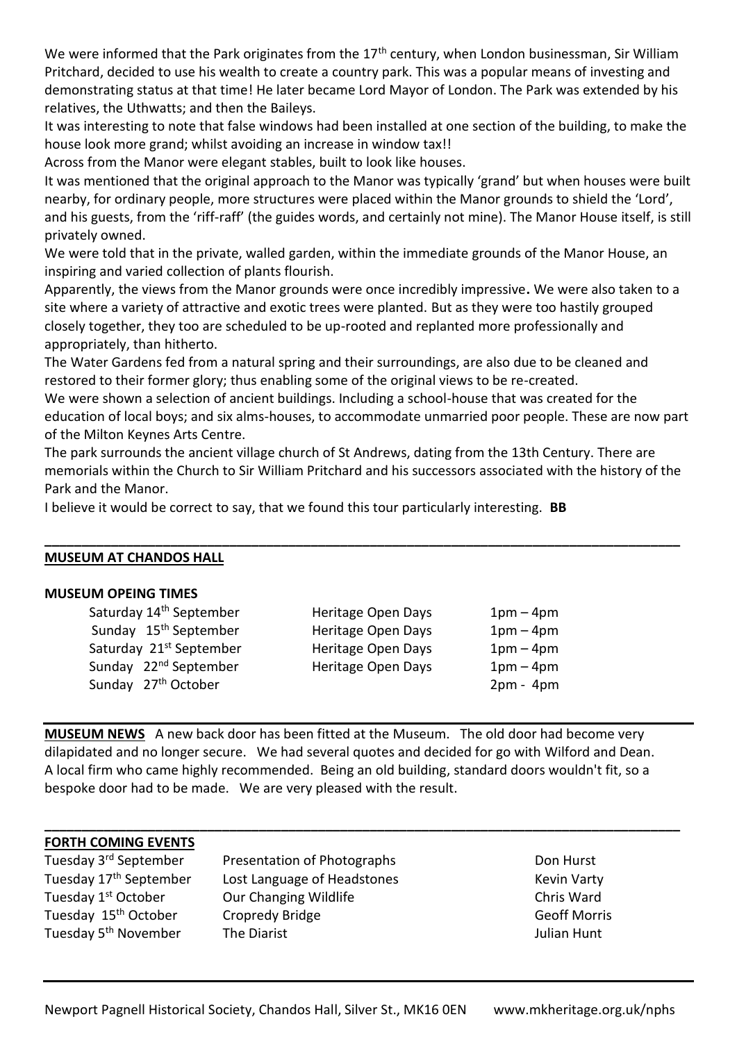We were informed that the Park originates from the 17<sup>th</sup> century, when London businessman, Sir William Pritchard, decided to use his wealth to create a country park. This was a popular means of investing and demonstrating status at that time! He later became Lord Mayor of London. The Park was extended by his relatives, the Uthwatts; and then the Baileys.

It was interesting to note that false windows had been installed at one section of the building, to make the house look more grand; whilst avoiding an increase in window tax!!

Across from the Manor were elegant stables, built to look like houses.

It was mentioned that the original approach to the Manor was typically 'grand' but when houses were built nearby, for ordinary people, more structures were placed within the Manor grounds to shield the 'Lord', and his guests, from the 'riff-raff' (the guides words, and certainly not mine). The Manor House itself, is still privately owned.

We were told that in the private, walled garden, within the immediate grounds of the Manor House, an inspiring and varied collection of plants flourish.

Apparently, the views from the Manor grounds were once incredibly impressive**.** We were also taken to a site where a variety of attractive and exotic trees were planted. But as they were too hastily grouped closely together, they too are scheduled to be up-rooted and replanted more professionally and appropriately, than hitherto.

The Water Gardens fed from a natural spring and their surroundings, are also due to be cleaned and restored to their former glory; thus enabling some of the original views to be re-created.

We were shown a selection of ancient buildings. Including a school-house that was created for the education of local boys; and six alms-houses, to accommodate unmarried poor people. These are now part of the Milton Keynes Arts Centre.

The park surrounds the ancient village church of St Andrews, dating from the 13th Century. There are memorials within the Church to Sir William Pritchard and his successors associated with the history of the Park and the Manor.

**\_\_\_\_\_\_\_\_\_\_\_\_\_\_\_\_\_\_\_\_\_\_\_\_\_\_\_\_\_\_\_\_\_\_\_\_\_\_\_\_\_\_\_\_\_\_\_\_\_\_\_\_\_\_\_\_\_\_\_\_\_\_\_\_\_\_\_\_\_\_\_\_\_\_\_\_\_\_\_\_\_\_\_\_\_\_**

I believe it would be correct to say, that we found this tour particularly interesting. **BB**

#### **MUSEUM AT CHANDOS HALL**

#### **MUSEUM OPEING TIMES**

|                                 | Saturday 14 <sup>th</sup> September |
|---------------------------------|-------------------------------------|
|                                 | Sunday 15 <sup>th</sup> September   |
|                                 | Saturday 21st September             |
|                                 | Sunday 22 <sup>nd</sup> September   |
| Sunday 27 <sup>th</sup> October |                                     |

Heritage Open Days  $1pm - 4pm$ Heritage Open Days  $1pm - 4pm$ Heritage Open Days 1pm – 4pm Heritage Open Days 1pm – 4pm

 $2pm - 4pm$ 

**MUSEUM NEWS** A new back door has been fitted at the Museum. The old door had become very dilapidated and no longer secure. We had several quotes and decided for go with Wilford and Dean. A local firm who came highly recommended. Being an old building, standard doors wouldn't fit, so a bespoke door had to be made. We are very pleased with the result.

**\_\_\_\_\_\_\_\_\_\_\_\_\_\_\_\_\_\_\_\_\_\_\_\_\_\_\_\_\_\_\_\_\_\_\_\_\_\_\_\_\_\_\_\_\_\_\_\_\_\_\_\_\_\_\_\_\_\_\_\_\_\_\_\_\_\_\_\_\_\_\_\_\_\_\_\_\_\_\_\_\_\_\_\_\_\_**

#### **FORTH COMING EVENTS**

Tuesday 1<sup>st</sup> October

Tuesday 3<sup>rd</sup> September Presentation of Photographs **Property Conduct** Don Hurst Tuesday 17<sup>th</sup> September Lost Language of Headstones Kevin Varty Our Changing Wildlife Chris Ward Tuesday 15<sup>th</sup> October Cropredy Bridge Controller Cropredy Bridge Geoff Morris Tuesday 5<sup>th</sup> November **The Diarist The State Communisty Communist** Julian Hunt